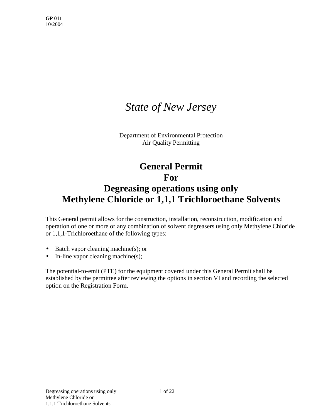# *State of New Jersey*

Department of Environmental Protection Air Quality Permitting

## **General Permit For Degreasing operations using only Methylene Chloride or 1,1,1 Trichloroethane Solvents**

This General permit allows for the construction, installation, reconstruction, modification and operation of one or more or any combination of solvent degreasers using only Methylene Chloride or 1,1,1-Trichloroethane of the following types:

- Batch vapor cleaning machine(s); or
- In-line vapor cleaning machine(s);

The potential-to-emit (PTE) for the equipment covered under this General Permit shall be established by the permittee after reviewing the options in section VI and recording the selected option on the Registration Form.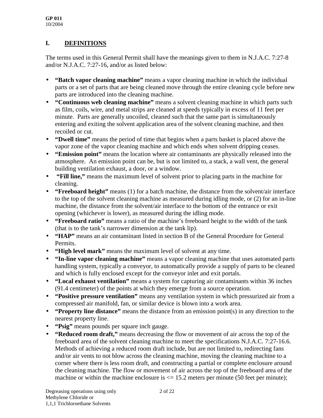## **I. DEFINITIONS**

The terms used in this General Permit shall have the meanings given to them in N.J.A.C. 7:27-8 and/or N.J.A.C. 7:27-16, and/or as listed below:

- **"Batch vapor cleaning machine"** means a vapor cleaning machine in which the individual parts or a set of parts that are being cleaned move through the entire cleaning cycle before new parts are introduced into the cleaning machine.
- **"Continuous web cleaning machine"** means a solvent cleaning machine in which parts such as film, coils, wire, and metal strips are cleaned at speeds typically in excess of 11 feet per minute. Parts are generally uncoiled, cleaned such that the same part is simultaneously entering and exiting the solvent application area of the solvent cleaning machine, and then recoiled or cut.
- **"Dwell time"** means the period of time that begins when a parts basket is placed above the vapor zone of the vapor cleaning machine and which ends when solvent dripping ceases.
- **"Emission point"** means the location where air contaminants are physically released into the atmosphere. An emission point can be, but is not limited to, a stack, a wall vent, the general building ventilation exhaust, a door, or a window.
- • **"Fill line,"** means the maximum level of solvent prior to placing parts in the machine for cleaning.
- **"Freeboard height"** means (1) for a batch machine, the distance from the solvent/air interface to the top of the solvent cleaning machine as measured during idling mode, or (2) for an in-line machine, the distance from the solvent/air interface to the bottom of the entrance or exit opening (whichever is lower), as measured during the idling mode.
- **"Freeboard ratio"** means a ratio of the machine's freeboard height to the width of the tank (that is to the tank's narrower dimension at the tank lip).
- **"HAP"** means an air contaminant listed in section B of the General Procedure for General Permits.
- **"High level mark"** means the maximum level of solvent at any time.
- **"In-line vapor cleaning machine"** means a vapor cleaning machine that uses automated parts handling system, typically a conveyor, to automatically provide a supply of parts to be cleaned and which is fully enclosed except for the conveyor inlet and exit portals.
- **"Local exhaust ventilation"** means a system for capturing air contaminants within 36 inches (91.4 centimeter) of the points at which they emerge from a source operation.
- **"Positive pressure ventilation"** means any ventilation system in which pressurized air from a compressed air manifold, fan, or similar device is blown into a work area.
- **"Property line distance"** means the distance from an emission point(s) in any direction to the nearest property line.
- **"Psig"** means pounds per square inch gauge.
- **"Reduced room draft,"** means decreasing the flow or movement of air across the top of the freeboard area of the solvent cleaning machine to meet the specifications N.J.A.C. 7:27-16.6. Methods of achieving a reduced room draft include, but are not limited to, redirecting fans and/or air vents to not blow across the cleaning machine, moving the cleaning machine to a corner where there is less room draft, and constructing a partial or complete enclosure around the cleaning machine. The flow or movement of air across the top of the freeboard area of the machine or within the machine enclosure is  $\leq$  15.2 meters per minute (50 feet per minute);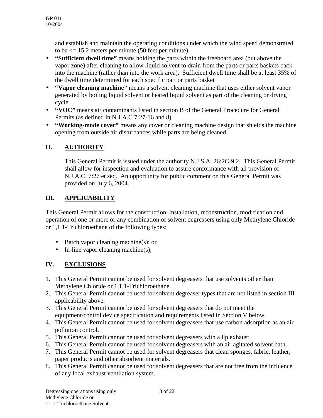and establish and maintain the operating conditions under which the wind speed demonstrated to be  $\leq$  15.2 meters per minute (50 feet per minute).

- **"Sufficient dwell time"** means holding the parts within the freeboard area (but above the vapor zone) after cleaning to allow liquid solvent to drain from the parts or parts baskets back into the machine (rather than into the work area). Sufficient dwell time shall be at least 35% of the dwell time determined for each specific part or parts basket
- **"Vapor cleaning machine"** means a solvent cleaning machine that uses either solvent vapor generated by boiling liquid solvent or heated liquid solvent as part of the cleaning or drying cycle.
- **"VOC"** means air contaminants listed in section B of the General Procedure for General Permits (as defined in N.J.A.C 7:27-16 and 8).
- **"Working-mode cover"** means any cover or cleaning machine design that shields the machine opening from outside air disturbances while parts are being cleaned.

## **II. AUTHORITY**

This General Permit is issued under the authority N.J.S.A. 26:2C-9.2. This General Permit shall allow for inspection and evaluation to assure conformance with all provision of N.J.A.C. 7:27 et seq. An opportunity for public comment on this General Permit was provided on July 6, 2004.

### **III. APPLICABILITY**

This General Permit allows for the construction, installation, reconstruction, modification and operation of one or more or any combination of solvent degreasers using only Methylene Chloride or 1,1,1-Trichloroethane of the following types:

- Batch vapor cleaning machine(s); or
- In-line vapor cleaning machine(s);

## **IV. EXCLUSIONS**

- 1. This General Permit cannot be used for solvent degreasers that use solvents other than Methylene Chloride or 1,1,1-Trichloroethane.
- 2. This General Permit cannot be used for solvent degreaser types that are not listed in section III applicability above.
- 3. This General Permit cannot be used for solvent degreasers that do not meet the equipment/control device specification and requirements listed in Section V below.
- 4. This General Permit cannot be used for solvent degreasers that use carbon adsorption as an air pollution control.
- 5. This General Permit cannot be used for solvent degreasers with a lip exhaust.
- 6. This General Permit cannot be used for solvent degreasers with an air agitated solvent bath.
- 7. This General Permit cannot be used for solvent degreasers that clean sponges, fabric, leather, paper products and other absorbent materials.
- 8. This General Permit cannot be used for solvent degreasers that are not free from the influence of any local exhaust ventilation system.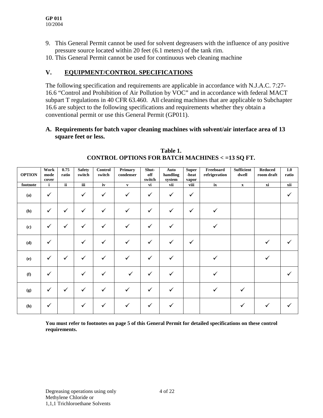- 9. This General Permit cannot be used for solvent degreasers with the influence of any positive pressure source located within 20 feet (6.1 meters) of the tank rim.
- 10. This General Permit cannot be used for continuous web cleaning machine

#### **V. EQUIPMENT/CONTROL SPECIFICATIONS**

The following specification and requirements are applicable in accordance with N.J.A.C. 7:27- 16.6 "Control and Prohibition of Air Pollution by VOC" and in accordance with federal MACT subpart T regulations in 40 CFR 63.460. All cleaning machines that are applicable to Subchapter 16.6 are subject to the following specifications and requirements whether they obtain a conventional permit or use this General Permit (GP011).

#### **A. Requirements for batch vapor cleaning machines with solvent/air interface area of 13 square feet or less.**

| <b>OPTION</b> | Work<br>mode<br>cover | 0.75<br>ratio            | <b>Safety</b><br>switch | Control<br>switch | Primary<br>condenser | Shut-<br>off<br>switch | Auto<br>handling<br>system | <b>Super</b><br>-heat<br>vapor | Freeboard<br>refrigeration | <b>Sufficient</b><br>dwell | <b>Reduced</b><br>room draft | 1.0<br>ratio |
|---------------|-----------------------|--------------------------|-------------------------|-------------------|----------------------|------------------------|----------------------------|--------------------------------|----------------------------|----------------------------|------------------------------|--------------|
| footnote      | i                     | $\overline{\mathbf{ii}}$ | iii                     | iv                | $\mathbf{v}$         | vi                     | vii                        | viii                           | i <b>x</b>                 | $\mathbf{x}$               | $\overline{\mathbf{X}}$      | xii          |
| (a)           | ✓                     |                          | ✓                       | $\checkmark$      | $\checkmark$         | $\checkmark$           | $\checkmark$               | $\checkmark$                   |                            |                            |                              |              |
| (b)           | $\checkmark$          | $\checkmark$             | $\checkmark$            | $\checkmark$      | $\checkmark$         | $\checkmark$           | $\checkmark$               | $\checkmark$                   | $\checkmark$               |                            |                              |              |
| (c)           | $\checkmark$          | $\checkmark$             | $\checkmark$            | $\checkmark$      | $\checkmark$         | $\checkmark$           | ✓                          |                                | ✓                          |                            |                              |              |
| (d)           | ✓                     |                          | $\checkmark$            | $\checkmark$      | $\checkmark$         | $\checkmark$           | ✓                          | $\checkmark$                   |                            |                            | ✓                            |              |
| (e)           | $\checkmark$          | $\checkmark$             | $\checkmark$            | $\checkmark$      | ✓                    | $\checkmark$           | ✓                          |                                | ✓                          |                            |                              |              |
| (f)           | ✓                     |                          | $\checkmark$            | ✓                 | $\checkmark$         | $\checkmark$           | ✓                          |                                | ✓                          |                            |                              |              |
| (g)           | $\checkmark$          | $\checkmark$             | $\checkmark$            | $\checkmark$      | ✓                    | $\checkmark$           | ✓                          |                                | ✓                          | $\checkmark$               |                              |              |
| (h)           | $\checkmark$          |                          | ✓                       | ✓                 |                      | $\checkmark$           | ✓                          |                                |                            | $\checkmark$               |                              |              |

**Table 1. CONTROL OPTIONS FOR BATCH MACHINES < =13 SQ FT.**

**You must refer to footnotes on page 5 of this General Permit for detailed specifications on these control requirements.**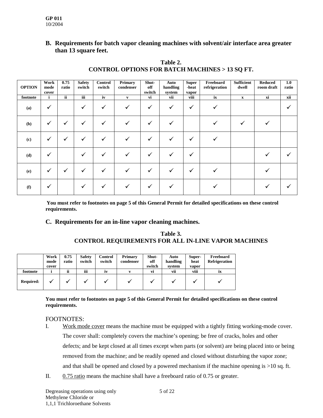#### **B. Requirements for batch vapor cleaning machines with solvent/air interface area greater than 13 square feet.**

| <b>OPTION</b> | Work<br>mode<br>cover | 0.75<br>ratio            | <b>Safety</b><br>switch | Control<br>switch | Primary<br>condenser | Shut-<br>off<br>switch | Auto<br>handling<br>system | <b>Super</b><br>-heat<br>vapor | Freeboard<br>refrigeration | <b>Sufficient</b><br>dwell | <b>Reduced</b><br>room draft | 1.0<br>ratio |
|---------------|-----------------------|--------------------------|-------------------------|-------------------|----------------------|------------------------|----------------------------|--------------------------------|----------------------------|----------------------------|------------------------------|--------------|
| footnote      | i                     | $\overline{\mathbf{ii}}$ | iii                     | iv                | $\mathbf{v}$         | vi                     | vii                        | viii                           | ix                         | $\mathbf X$                | xi                           | xii          |
| (a)           | ✓                     |                          | ✓                       | ✓                 | ✓                    | $\checkmark$           | $\checkmark$               | ✓                              | ✓                          |                            |                              |              |
| (b)           | ✓                     | $\checkmark$             | $\checkmark$            | $\checkmark$      |                      | ✓                      |                            |                                |                            |                            | $\checkmark$                 |              |
| (c)           | ✓                     | ✓                        | ✓                       |                   |                      | ✓                      |                            | ✓                              |                            |                            |                              |              |
| (d)           | ✓                     |                          |                         |                   |                      | ✓                      |                            | ✔                              |                            |                            |                              |              |
| (e)           | ✓                     | $\checkmark$             | $\checkmark$            |                   |                      |                        |                            | ✓                              |                            |                            |                              |              |
| (f)           | ✓                     |                          |                         |                   |                      |                        |                            |                                |                            |                            |                              |              |

#### **Table 2. CONTROL OPTIONS FOR BATCH MACHINES > 13 SQ FT.**

**You must refer to footnotes on page 5 of this General Permit for detailed specifications on these control requirements.**

#### **C. Requirements for an in-line vapor cleaning machines.**

#### **Table 3. CONTROL REQUIREMENTS FOR ALL IN-LINE VAPOR MACHINES**

|                  | Work  | 0.75  | <b>Safety</b> | Control | Primary   | Shut-  | Auto     | Super- | Freeboard            |
|------------------|-------|-------|---------------|---------|-----------|--------|----------|--------|----------------------|
|                  | mode  | ratio | switch        | switch  | condenser | off    | handling | heat   | <b>Refrigeration</b> |
|                  | cover |       |               |         |           | switch | system   | vapor  |                      |
| footnote         |       | ii    | iii           | ٠<br>iv |           | VÌ     | vii      | viii   | ix                   |
| <b>Required:</b> |       |       |               |         |           |        |          |        |                      |

**You must refer to footnotes on page 5 of this General Permit for detailed specifications on these control requirements.**

#### FOOTNOTES:

- I. Work mode cover means the machine must be equipped with a tightly fitting working-mode cover. The cover shall: completely covers the machine's opening; be free of cracks, holes and other defects; and be kept closed at all times except when parts (or solvent) are being placed into or being removed from the machine; and be readily opened and closed without disturbing the vapor zone; and that shall be opened and closed by a powered mechanism if the machine opening is  $>10$  sq. ft.
- II. 0.75 ratio means the machine shall have a freeboard ratio of 0.75 or greater.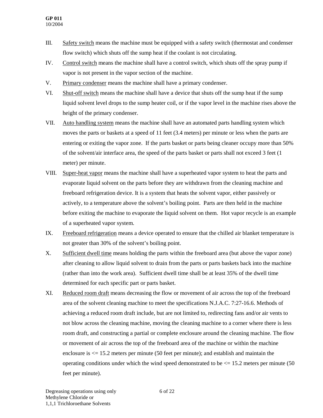- III. Safety switch means the machine must be equipped with a safety switch (thermostat and condenser flow switch) which shuts off the sump heat if the coolant is not circulating.
- IV. Control switch means the machine shall have a control switch, which shuts off the spray pump if vapor is not present in the vapor section of the machine.
- V. Primary condenser means the machine shall have a primary condenser.
- VI. Shut-off switch means the machine shall have a device that shuts off the sump heat if the sump liquid solvent level drops to the sump heater coil, or if the vapor level in the machine rises above the height of the primary condenser.
- VII. Auto handling system means the machine shall have an automated parts handling system which moves the parts or baskets at a speed of 11 feet (3.4 meters) per minute or less when the parts are entering or exiting the vapor zone. If the parts basket or parts being cleaner occupy more than 50% of the solvent/air interface area, the speed of the parts basket or parts shall not exceed 3 feet (1 meter) per minute.
- VIII. Super-heat vapor means the machine shall have a superheated vapor system to heat the parts and evaporate liquid solvent on the parts before they are withdrawn from the cleaning machine and freeboard refrigeration device. It is a system that heats the solvent vapor, either passively or actively, to a temperature above the solvent's boiling point. Parts are then held in the machine before exiting the machine to evaporate the liquid solvent on them. Hot vapor recycle is an example of a superheated vapor system.
- IX. Freeboard refrigeration means a device operated to ensure that the chilled air blanket temperature is not greater than 30% of the solvent's boiling point.
- X. Sufficient dwell time means holding the parts within the freeboard area (but above the vapor zone) after cleaning to allow liquid solvent to drain from the parts or parts baskets back into the machine (rather than into the work area). Sufficient dwell time shall be at least 35% of the dwell time determined for each specific part or parts basket.
- XI. Reduced room draft means decreasing the flow or movement of air across the top of the freeboard area of the solvent cleaning machine to meet the specifications N.J.A.C. 7:27-16.6. Methods of achieving a reduced room draft include, but are not limited to, redirecting fans and/or air vents to not blow across the cleaning machine, moving the cleaning machine to a corner where there is less room draft, and constructing a partial or complete enclosure around the cleaning machine. The flow or movement of air across the top of the freeboard area of the machine or within the machine enclosure is  $\leq$  15.2 meters per minute (50 feet per minute); and establish and maintain the operating conditions under which the wind speed demonstrated to be  $\leq$  15.2 meters per minute (50) feet per minute).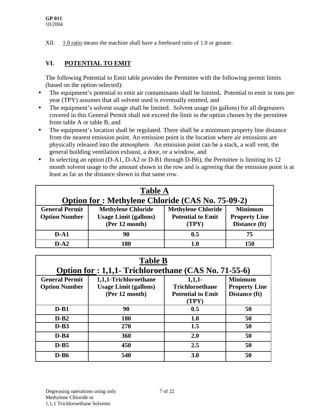XII. 1.0 ratio means the machine shall have a freeboard ratio of 1.0 or greater.

## **VI. POTENTIAL TO EMIT**

The following Potential to Emit table provides the Permittee with the following permit limits (based on the option selected):

- The equipment's potential to emit air contaminants shall be limited**.** Potential to emit in tons per year (TPY) assumes that all solvent used is eventually emitted, and
- The equipment's solvent usage shall be limited. Solvent usage (in gallons) for all degreasers covered in this General Permit shall not exceed the limit in the option chosen by the permittee from table A or table B, and
- The equipment's location shall be regulated. There shall be a minimum property line distance from the nearest emission point. An emission point is the location where air emissions are physically released into the atmosphere. An emission point can be a stack, a wall vent, the general building ventilation exhaust, a door, or a window, and
- In selecting an option (D-A1, D-A2 or D-B1 through D-B6), the Permittee is limiting its 12 month solvent usage to the amount shown in the row and is agreeing that the emission point is at least as far as the distance shown in that same row.

| <b>Table A</b><br><b>Option for: Methylene Chloride (CAS No. 75-09-2)</b> |                                                                             |                                                                |                                                         |  |  |
|---------------------------------------------------------------------------|-----------------------------------------------------------------------------|----------------------------------------------------------------|---------------------------------------------------------|--|--|
| <b>General Permit</b><br><b>Option Number</b>                             | <b>Methylene Chloride</b><br><b>Usage Limit (gallons)</b><br>(Per 12 month) | <b>Methylene Chloride</b><br><b>Potential to Emit</b><br>(TPY) | <b>Minimum</b><br><b>Property Line</b><br>Distance (ft) |  |  |
| $D-A1$                                                                    | 90                                                                          | 0.5                                                            | 75                                                      |  |  |
| $D-A2$                                                                    | 180                                                                         | 1.0                                                            | 150                                                     |  |  |

| <b>Table B</b>        |                                                       |                          |                      |  |  |
|-----------------------|-------------------------------------------------------|--------------------------|----------------------|--|--|
|                       | Option for : 1,1,1- Trichloroethane (CAS No. 71-55-6) |                          |                      |  |  |
| <b>General Permit</b> | 1,1,1-Trichloroethane                                 | 1,1,1                    | <b>Minimum</b>       |  |  |
| <b>Option Number</b>  | <b>Usage Limit (gallons)</b>                          | <b>Trichloroethane</b>   | <b>Property Line</b> |  |  |
|                       | (Per 12 month)                                        | <b>Potential to Emit</b> | Distance (ft)        |  |  |
|                       |                                                       | (TPY)                    |                      |  |  |
| $D-B1$                | 90                                                    | 0.5                      | 50                   |  |  |
| $D-B2$                | 180                                                   | 1.0                      | 50                   |  |  |
| $D-B3$                | 270                                                   | 1.5                      | 50                   |  |  |
| $D - B4$              | 360                                                   | 2.0                      | 50                   |  |  |
| $D-B5$                | 450                                                   | 2.5                      | 50                   |  |  |
| $D-B6$                | 540                                                   | 3.0                      | 50                   |  |  |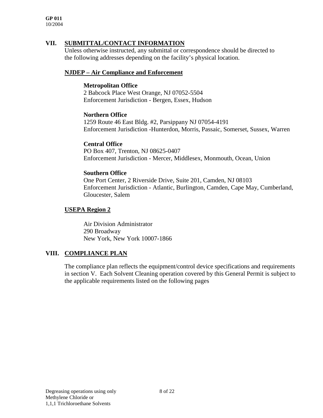**GP 011** 10/2004

#### **VII. SUBMITTAL/CONTACT INFORMATION**

Unless otherwise instructed, any submittal or correspondence should be directed to the following addresses depending on the facility's physical location.

#### **NJDEP – Air Compliance and Enforcement**

#### **Metropolitan Office**

2 Babcock Place West Orange, NJ 07052-5504 Enforcement Jurisdiction - Bergen, Essex, Hudson

#### **Northern Office**

1259 Route 46 East Bldg. #2, Parsippany NJ 07054-4191 Enforcement Jurisdiction -Hunterdon, Morris, Passaic, Somerset, Sussex, Warren

#### **Central Office**

PO Box 407, Trenton, NJ 08625-0407 Enforcement Jurisdiction - Mercer, Middlesex, Monmouth, Ocean, Union

#### **Southern Office**

One Port Center, 2 Riverside Drive, Suite 201, Camden, NJ 08103 Enforcement Jurisdiction - Atlantic, Burlington, Camden, Cape May, Cumberland, Gloucester, Salem

#### **USEPA Region 2**

Air Division Administrator 290 Broadway New York, New York 10007-1866

#### **VIII. COMPLIANCE PLAN**

The compliance plan reflects the equipment/control device specifications and requirements in section V. Each Solvent Cleaning operation covered by this General Permit is subject to the applicable requirements listed on the following pages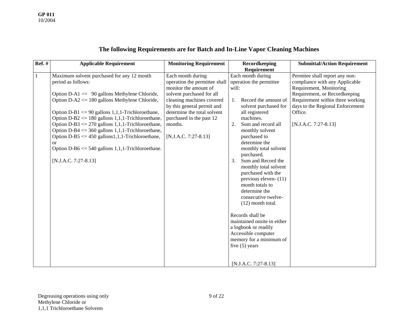## **The following Requirements are for Batch and In-Line Vapor Cleaning Machines**

| $Ref.$ # | <b>Applicable Requirement</b>                                                                                                                                                                                                                                                                                                                                                                                                                                                                                                                                 | <b>Monitoring Requirement</b>                                                                                                                                                                                                                                       | Recordkeeping                                                                                                                                                                                                                                                                                                                                                                                                                                                                                                                                                                                               | <b>Submittal/Action Requirement</b>                                                                                                                                                                                                       |
|----------|---------------------------------------------------------------------------------------------------------------------------------------------------------------------------------------------------------------------------------------------------------------------------------------------------------------------------------------------------------------------------------------------------------------------------------------------------------------------------------------------------------------------------------------------------------------|---------------------------------------------------------------------------------------------------------------------------------------------------------------------------------------------------------------------------------------------------------------------|-------------------------------------------------------------------------------------------------------------------------------------------------------------------------------------------------------------------------------------------------------------------------------------------------------------------------------------------------------------------------------------------------------------------------------------------------------------------------------------------------------------------------------------------------------------------------------------------------------------|-------------------------------------------------------------------------------------------------------------------------------------------------------------------------------------------------------------------------------------------|
|          |                                                                                                                                                                                                                                                                                                                                                                                                                                                                                                                                                               |                                                                                                                                                                                                                                                                     | Requirement                                                                                                                                                                                                                                                                                                                                                                                                                                                                                                                                                                                                 |                                                                                                                                                                                                                                           |
| 1        | Maximum solvent purchased for any 12 month<br>period as follows:<br>Option D-A1 $\leq$ 90 gallons Methylene Chloride,<br>Option D-A2 $\leq$ 180 gallons Methylene Chloride,<br>Option D-B1 $\leq$ 90 gallons 1,1,1-Trichloroethane,<br>Option D-B2 $\le$ 180 gallons 1,1,1-Trichloroethane,<br>Option D-B3 $\leq$ 270 gallons 1,1,1-Trichloroethane,<br>Option D-B4 $\leq$ 360 gallons 1,1,1-Trichloroethane,<br>Option D-B5 $\leq$ 450 gallons1,1,1-Trichloroethane,<br>or<br>Option D-B6 $\le$ 540 gallons 1,1,1-Trichloroethane.<br>$[N.J.A.C. 7:27-8.13]$ | Each month during<br>operation the permittee shall<br>monitor the amount of<br>solvent purchased for all<br>cleaning machines covered<br>by this general permit and<br>determine the total solvent<br>purchased in the past 12<br>months.<br>$[N.J.A.C. 7:27-8.13]$ | Each month during<br>operation the permittee<br>will:<br>Record the amount of<br>1.<br>solvent purchased for<br>all registered<br>machines.<br>Sum and record all<br>2.<br>monthly solvent<br>purchased to<br>determine the<br>monthly total solvent<br>purchased.<br>Sum and Record the<br>3.<br>monthly total solvent<br>purchased with the<br>previous eleven- $(11)$<br>month totals to<br>determine the<br>consecutive twelve-<br>$(12)$ month total.<br>Records shall be<br>maintained onsite in either<br>a logbook or readily<br>Accessible computer<br>memory for a minimum of<br>five $(5)$ years | Permitee shall report any non-<br>compliance with any Applicable<br>Requirement, Monitoring<br>Requirement, or Recordkeeping<br>Requirement within three working<br>days to the Regional Enforcement<br>Office.<br>$[N.J.A.C. 7:27-8.13]$ |
|          |                                                                                                                                                                                                                                                                                                                                                                                                                                                                                                                                                               |                                                                                                                                                                                                                                                                     | $[N.J.A.C. 7:27-8.13]$                                                                                                                                                                                                                                                                                                                                                                                                                                                                                                                                                                                      |                                                                                                                                                                                                                                           |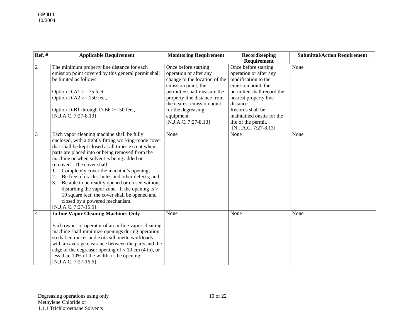| <b>Ref.</b> #  | <b>Applicable Requirement</b>                                                                                                                                                                                                                                                                                                                                                                                                                                                                                                                                                                                   | <b>Monitoring Requirement</b>                                                                                                                                                                                                                                    | Recordkeeping<br>Requirement                                                                                                                                                                                                             | <b>Submittal/Action Requirement</b> |
|----------------|-----------------------------------------------------------------------------------------------------------------------------------------------------------------------------------------------------------------------------------------------------------------------------------------------------------------------------------------------------------------------------------------------------------------------------------------------------------------------------------------------------------------------------------------------------------------------------------------------------------------|------------------------------------------------------------------------------------------------------------------------------------------------------------------------------------------------------------------------------------------------------------------|------------------------------------------------------------------------------------------------------------------------------------------------------------------------------------------------------------------------------------------|-------------------------------------|
| $\overline{2}$ | The minimum property line distance for each<br>emission point covered by this general permit shall<br>be limited as follows:<br>Option D-A1 $\ge$ 75 feet,<br>Option $D-A2 \ge 150$ feet,<br>Option D-B1 through D-B6 $>=$ 50 feet,<br>$[N.J.A.C. 7:27-8.13]$                                                                                                                                                                                                                                                                                                                                                   | Once before starting<br>operation or after any<br>change to the location of the<br>emission point, the<br>permittee shall measure the<br>property line distance from<br>the nearest emission point<br>for the degreasing<br>equipment.<br>$[N.J.A.C. 7:27-8.13]$ | Once before starting<br>operation or after any<br>modification to the<br>emission point, the<br>permittee shall record the<br>nearest property line<br>distance.<br>Records shall be<br>maintained onsite for the<br>life of the permit. | None                                |
| $\mathfrak{Z}$ | Each vapor cleaning machine shall be fully<br>enclosed, with a tightly fitting working-mode cover<br>that shall be kept closed at all times except when<br>parts are placed into or being removed from the<br>machine or when solvent is being added or<br>removed. The cover shall:<br>Completely cover the machine's opening;<br>Be free of cracks, holes and other defects; and<br>2.<br>3.<br>Be able to be readily opened or closed without<br>disturbing the vapor zone. If the opening is $>$<br>10 square feet, the cover shall be opened and<br>closed by a powered mechanism.<br>[N.J.A.C. 7:27-16.6] | None                                                                                                                                                                                                                                                             | [N.J.A.C. 7:27-8.13]<br>None                                                                                                                                                                                                             | None                                |
| $\overline{4}$ | <b>In-line Vapor Cleaning Machines Only</b><br>Each owner or operator of an in-line vapor cleaning<br>machine shall minimize openings during operation<br>so that entrances and exits silhouette workloads<br>with an average clearance between the parts and the<br>edge of the degreaser opening of $< 10$ cm (4 in), or<br>less than 10% of the width of the opening.<br>$[N.J.A.C. 7:27-16.6]$                                                                                                                                                                                                              | None                                                                                                                                                                                                                                                             | None                                                                                                                                                                                                                                     | None                                |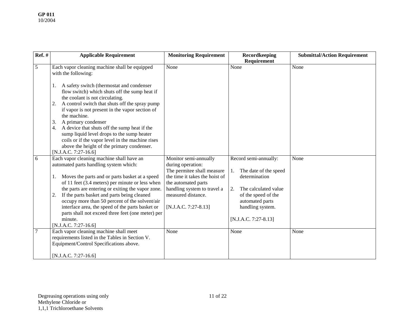| $Ref.$ # | <b>Applicable Requirement</b>                                                                                                                                                                                                            | <b>Monitoring Requirement</b>                                                                              | Recordkeeping<br>Requirement                                          | <b>Submittal/Action Requirement</b> |
|----------|------------------------------------------------------------------------------------------------------------------------------------------------------------------------------------------------------------------------------------------|------------------------------------------------------------------------------------------------------------|-----------------------------------------------------------------------|-------------------------------------|
|          |                                                                                                                                                                                                                                          |                                                                                                            |                                                                       |                                     |
| 5        | Each vapor cleaning machine shall be equipped<br>with the following:                                                                                                                                                                     | None                                                                                                       | None                                                                  | None                                |
|          | A safety switch (thermostat and condenser<br>flow switch) which shuts off the sump heat if<br>the coolant is not circulating.<br>A control switch that shuts off the spray pump<br>2.<br>if vapor is not present in the vapor section of |                                                                                                            |                                                                       |                                     |
|          | the machine.                                                                                                                                                                                                                             |                                                                                                            |                                                                       |                                     |
|          | A primary condenser<br>3.                                                                                                                                                                                                                |                                                                                                            |                                                                       |                                     |
|          | A device that shuts off the sump heat if the<br>4.<br>sump liquid level drops to the sump heater<br>coils or if the vapor level in the machine rises<br>above the height of the primary condenser.                                       |                                                                                                            |                                                                       |                                     |
|          | [N.J.A.C. 7:27-16.6]                                                                                                                                                                                                                     |                                                                                                            |                                                                       |                                     |
| 6        | Each vapor cleaning machine shall have an<br>automated parts handling system which:<br>Moves the parts and or parts basket at a speed                                                                                                    | Monitor semi-annually<br>during operation:<br>The permitee shall measure<br>the time it takes the hoist of | Record semi-annually:<br>The date of the speed<br>1.<br>determination | None                                |
|          | of 11 feet (3.4 meters) per minute or less when                                                                                                                                                                                          | the automated parts                                                                                        |                                                                       |                                     |
|          | the parts are entering or exiting the vapor zone.<br>If the parts basket and parts being cleaned<br>2.<br>occupy more than 50 percent of the solvent/air                                                                                 | handling system to travel a<br>measured distance.                                                          | The calculated value<br>2.<br>of the speed of the<br>automated parts  |                                     |
|          | interface area, the speed of the parts basket or<br>parts shall not exceed three feet (one meter) per                                                                                                                                    | [N.J.A.C. 7:27-8.13]                                                                                       | handling system.                                                      |                                     |
|          | minute.<br>[N.J.A.C. 7:27-16.6]                                                                                                                                                                                                          |                                                                                                            | [N.J.A.C. 7:27-8.13]                                                  |                                     |
|          | Each vapor cleaning machine shall meet<br>requirements listed in the Tables in Section V.<br>Equipment/Control Specifications above.                                                                                                     | None                                                                                                       | None                                                                  | None                                |
|          | $[N.J.A.C. 7:27-16.6]$                                                                                                                                                                                                                   |                                                                                                            |                                                                       |                                     |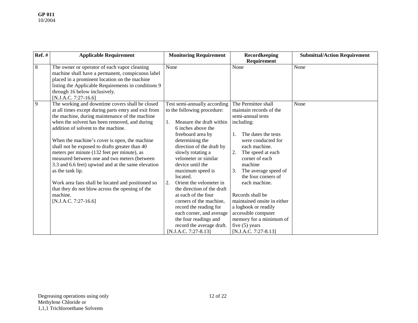| $Ref.$ #       | <b>Applicable Requirement</b>                                                                                                                                                                                                                                                                                                                                                                                                                                            | <b>Monitoring Requirement</b>                                                                                                                                                                                                                                                                  | Recordkeeping                                                                                                                                                                              | <b>Submittal/Action Requirement</b> |
|----------------|--------------------------------------------------------------------------------------------------------------------------------------------------------------------------------------------------------------------------------------------------------------------------------------------------------------------------------------------------------------------------------------------------------------------------------------------------------------------------|------------------------------------------------------------------------------------------------------------------------------------------------------------------------------------------------------------------------------------------------------------------------------------------------|--------------------------------------------------------------------------------------------------------------------------------------------------------------------------------------------|-------------------------------------|
|                |                                                                                                                                                                                                                                                                                                                                                                                                                                                                          |                                                                                                                                                                                                                                                                                                | Requirement                                                                                                                                                                                |                                     |
| $8\phantom{.}$ | The owner or operator of each vapor cleaning<br>machine shall have a permanent, conspicuous label<br>placed in a prominent location on the machine<br>listing the Applicable Requirements in conditions 9<br>through 16 below inclusively.<br>$[N.J.A.C. 7:27-16.6]$                                                                                                                                                                                                     | None                                                                                                                                                                                                                                                                                           | None                                                                                                                                                                                       | None                                |
| 9              | The working and downtime covers shall be closed<br>at all times except during parts entry and exit from<br>the machine, during maintenance of the machine                                                                                                                                                                                                                                                                                                                | Test semi-annually according<br>to the following procedure:                                                                                                                                                                                                                                    | The Permittee shall<br>maintain records of the<br>semi-annual tests                                                                                                                        | None                                |
|                | when the solvent has been removed, and during<br>addition of solvent to the machine.<br>When the machine's cover is open, the machine<br>shall not be exposed to drafts greater than 40<br>meters per minute (132 feet per minute), as<br>measured between one and two meters (between<br>3.3 and 6.6 feet) upwind and at the same elevation<br>as the tank lip.<br>Work area fans shall be located and positioned so<br>that they do not blow across the opening of the | Measure the draft within<br>$1_{-}$<br>6 inches above the<br>freeboard area by<br>determining the<br>direction of the draft by<br>slowly rotating a<br>velometer or similar<br>device until the<br>maximum speed is<br>located.<br>Orient the velometer in<br>2.<br>the direction of the draft | including:<br>The dates the tests<br>were conducted for<br>each machine.<br>The speed at each<br>corner of each<br>machine<br>The average speed of<br>the four corners of<br>each machine. |                                     |
|                | machine.<br>$[N.J.A.C. 7:27-16.6]$                                                                                                                                                                                                                                                                                                                                                                                                                                       | at each of the four<br>corners of the machine.<br>record the reading for<br>each corner, and average<br>the four readings and<br>record the average draft.<br>[N.J.A.C. 7:27-8.13]                                                                                                             | Records shall be<br>maintained onsite in either<br>a logbook or readily<br>accessible computer<br>memory for a minimum of<br>five $(5)$ years<br>[N.J.A.C. 7:27-8.13]                      |                                     |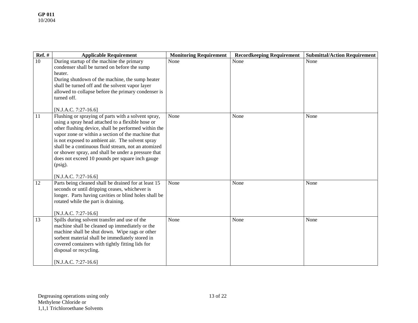| Ref. $#$ | <b>Applicable Requirement</b>                                                                                                                                                                                                                                                                                                                                                                                                                                                     | <b>Monitoring Requirement</b> | <b>Recordkeeping Requirement</b> | <b>Submittal/Action Requirement</b> |
|----------|-----------------------------------------------------------------------------------------------------------------------------------------------------------------------------------------------------------------------------------------------------------------------------------------------------------------------------------------------------------------------------------------------------------------------------------------------------------------------------------|-------------------------------|----------------------------------|-------------------------------------|
| 10       | During startup of the machine the primary<br>condenser shall be turned on before the sump<br>heater.<br>During shutdown of the machine, the sump heater<br>shall be turned off and the solvent vapor layer<br>allowed to collapse before the primary condenser is<br>turned off.<br>[N.J.A.C. 7:27-16.6]                                                                                                                                                                          | None                          | None                             | None                                |
| 11       | Flushing or spraying of parts with a solvent spray,<br>using a spray head attached to a flexible hose or<br>other flushing device, shall be performed within the<br>vapor zone or within a section of the machine that<br>is not exposed to ambient air. The solvent spray<br>shall be a continuous fluid stream, not an atomized<br>or shower spray, and shall be under a pressure that<br>does not exceed 10 pounds per square inch gauge<br>$(psig)$ .<br>[N.J.A.C. 7:27-16.6] | None                          | None                             | None                                |
| 12       | Parts being cleaned shall be drained for at least 15<br>seconds or until dripping ceases, whichever is<br>longer. Parts having cavities or blind holes shall be<br>rotated while the part is draining.<br>$[N.J.A.C. 7:27-16.6]$                                                                                                                                                                                                                                                  | None                          | None                             | None                                |
| 13       | Spills during solvent transfer and use of the<br>machine shall be cleaned up immediately or the<br>machine shall be shut down. Wipe rags or other<br>sorbent material shall be immediately stored in<br>covered containers with tightly fitting lids for<br>disposal or recycling.<br>[N.J.A.C. 7:27-16.6]                                                                                                                                                                        | None                          | None                             | None                                |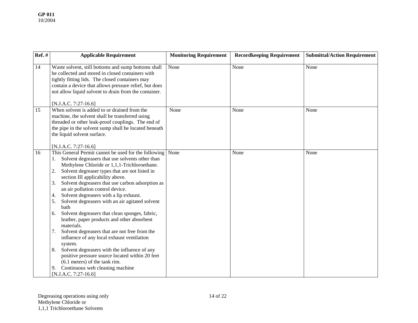| Ref. $#$ | <b>Applicable Requirement</b>                                                                                                                                                                                                                                                                                                                                                                                                                                                                                                                                                                                                                                                                                                                                                                                                                                                                                        | <b>Monitoring Requirement</b> | <b>Recordkeeping Requirement</b> | <b>Submittal/Action Requirement</b> |
|----------|----------------------------------------------------------------------------------------------------------------------------------------------------------------------------------------------------------------------------------------------------------------------------------------------------------------------------------------------------------------------------------------------------------------------------------------------------------------------------------------------------------------------------------------------------------------------------------------------------------------------------------------------------------------------------------------------------------------------------------------------------------------------------------------------------------------------------------------------------------------------------------------------------------------------|-------------------------------|----------------------------------|-------------------------------------|
| 14       | Waste solvent, still bottoms and sump bottoms shall<br>be collected and stored in closed containers with<br>tightly fitting lids. The closed containers may<br>contain a device that allows pressure relief, but does<br>not allow liquid solvent to drain from the container.<br>[N.J.A.C. 7:27-16.6]                                                                                                                                                                                                                                                                                                                                                                                                                                                                                                                                                                                                               | None                          | None                             | None                                |
| 15       | When solvent is added to or drained from the<br>machine, the solvent shall be transferred using<br>threaded or other leak-proof couplings. The end of<br>the pipe in the solvent sump shall be located beneath<br>the liquid solvent surface.<br>[N.J.A.C. 7:27-16.6]                                                                                                                                                                                                                                                                                                                                                                                                                                                                                                                                                                                                                                                | None                          | None                             | None                                |
| 16       | This General Permit cannot be used for the following<br>Solvent degreasers that use solvents other than<br>Methylene Chloride or 1,1,1-Trichloroethane.<br>Solvent degreaser types that are not listed in<br>2.<br>section III applicability above.<br>Solvent degreasers that use carbon adsorption as<br>3.<br>an air pollution control device.<br>Solvent degreasers with a lip exhaust.<br>4.<br>Solvent degreasers with an air agitated solvent<br>5.<br>bath<br>Solvent degreasers that clean sponges, fabric,<br>6.<br>leather, paper products and other absorbent<br>materials.<br>Solvent degreasers that are not free from the<br>7.<br>influence of any local exhaust ventilation<br>system.<br>Solvent degreasers with the influence of any<br>8.<br>positive pressure source located within 20 feet<br>$(6.1$ meters) of the tank rim.<br>Continuous web cleaning machine<br>9.<br>[N.J.A.C. 7:27-16.6] | None                          | None                             | None                                |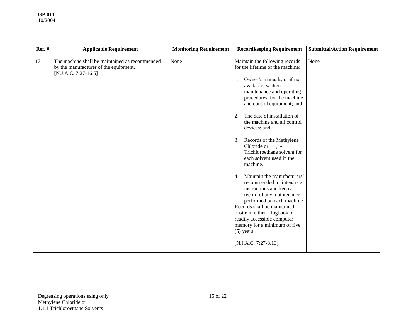| <b>Ref.</b> # | <b>Applicable Requirement</b>                                                                                     | <b>Monitoring Requirement</b> | <b>Recordkeeping Requirement</b>                                                                                                                                                                                                                                                                                                                                                                                                                                                                                                                                                                                                                                                                                                             | <b>Submittal/Action Requirement</b> |
|---------------|-------------------------------------------------------------------------------------------------------------------|-------------------------------|----------------------------------------------------------------------------------------------------------------------------------------------------------------------------------------------------------------------------------------------------------------------------------------------------------------------------------------------------------------------------------------------------------------------------------------------------------------------------------------------------------------------------------------------------------------------------------------------------------------------------------------------------------------------------------------------------------------------------------------------|-------------------------------------|
| 17            | The machine shall be maintained as recommended<br>by the manufacturer of the equipment.<br>$[N.J.A.C. 7:27-16.6]$ | None                          | Maintain the following records<br>for the lifetime of the machine:<br>Owner's manuals, or if not<br>1.<br>available, written<br>maintenance and operating<br>procedures, for the machine<br>and control equipment; and<br>The date of installation of<br>2.<br>the machine and all control<br>devices; and<br>Records of the Methylene<br>3.<br>Chloride or 1,1,1-<br>Trichloroethane solvent for<br>each solvent used in the<br>machine.<br>Maintain the manufacturers'<br>4.<br>recommended maintenance<br>instructions and keep a<br>record of any maintenance<br>performed on each machine<br>Records shall be maintained<br>onsite in either a logbook or<br>readily accessible computer<br>memory for a minimum of five<br>$(5)$ years | None                                |
|               |                                                                                                                   |                               | $[N.J.A.C. 7:27-8.13]$                                                                                                                                                                                                                                                                                                                                                                                                                                                                                                                                                                                                                                                                                                                       |                                     |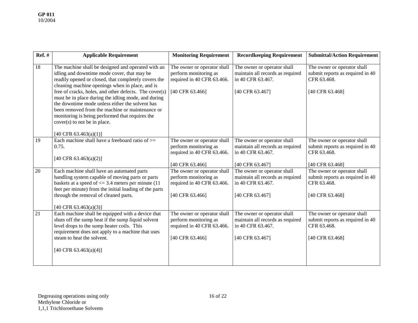| <b>Ref.</b> # | <b>Applicable Requirement</b>                                                                                                                                                                                                                                                                                                                                                                                                                                                                                          | <b>Monitoring Requirement</b>                                                                         | <b>Recordkeeping Requirement</b>                                                                        | <b>Submittal/Action Requirement</b>                                                               |
|---------------|------------------------------------------------------------------------------------------------------------------------------------------------------------------------------------------------------------------------------------------------------------------------------------------------------------------------------------------------------------------------------------------------------------------------------------------------------------------------------------------------------------------------|-------------------------------------------------------------------------------------------------------|---------------------------------------------------------------------------------------------------------|---------------------------------------------------------------------------------------------------|
| 18            | The machine shall be designed and operated with an<br>idling and downtime mode cover, that may be<br>readily opened or closed, that completely covers the<br>cleaning machine openings when in place, and is<br>free of cracks, holes, and other defects. The cover(s)<br>must be in place during the idling mode, and during<br>the downtime mode unless either the solvent has<br>been removed from the machine or maintenance or<br>monitoring is being performed that requires the<br>cover(s) to not be in place. | The owner or operator shall<br>perform monitoring as<br>required in 40 CFR 63.466.<br>[40 CFR 63.466] | The owner or operator shall<br>maintain all records as required<br>in 40 CFR 63.467.<br>[40 CFR 63.467] | The owner or operator shall<br>submit reports as required in 40<br>CFR 63.468.<br>[40 CFR 63.468] |
| 19            | [40 CFR 63.463(a)(1)]<br>Each machine shall have a freeboard ratio of $\geq$<br>0.75.<br>[40 CFR 63.463(a)(2)]                                                                                                                                                                                                                                                                                                                                                                                                         | The owner or operator shall<br>perform monitoring as<br>required in 40 CFR 63.466.<br>[40 CFR 63.466] | The owner or operator shall<br>maintain all records as required<br>in 40 CFR 63.467.<br>[40 CFR 63.467] | The owner or operator shall<br>submit reports as required in 40<br>CFR 63.468.<br>[40 CFR 63.468] |
| 20            | Each machine shall have an automated parts<br>handling system capable of moving parts or parts<br>baskets at a speed of $\leq$ 3.4 meters per minute (11)<br>feet per minute) from the initial loading of the parts<br>through the removal of cleaned parts.<br>[40 CFR 63.463(a)(3)]                                                                                                                                                                                                                                  | The owner or operator shall<br>perform monitoring as<br>required in 40 CFR 63.466.<br>[40 CFR 63.466] | The owner or operator shall<br>maintain all records as required<br>in 40 CFR 63.467.<br>[40 CFR 63.467] | The owner or operator shall<br>submit reports as required in 40<br>CFR 63.468.<br>[40 CFR 63.468] |
| 21            | Each machine shall be equipped with a device that<br>shuts off the sump heat if the sump liquid solvent<br>level drops to the sump heater coils. This<br>requirement does not apply to a machine that uses<br>steam to heat the solvent.<br>[40 CFR 63.463(a)(4)]                                                                                                                                                                                                                                                      | The owner or operator shall<br>perform monitoring as<br>required in 40 CFR 63.466.<br>[40 CFR 63.466] | The owner or operator shall<br>maintain all records as required<br>in 40 CFR 63.467.<br>[40 CFR 63.467] | The owner or operator shall<br>submit reports as required in 40<br>CFR 63.468.<br>[40 CFR 63.468] |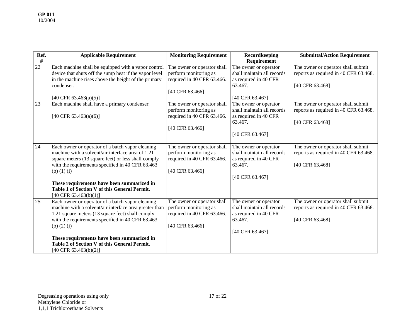| Ref.   | <b>Applicable Requirement</b>                                                                                                                                                                                                                                                                                                                              | <b>Monitoring Requirement</b>                                                                         | Recordkeeping                                                                                              | <b>Submittal/Action Requirement</b>                                                            |
|--------|------------------------------------------------------------------------------------------------------------------------------------------------------------------------------------------------------------------------------------------------------------------------------------------------------------------------------------------------------------|-------------------------------------------------------------------------------------------------------|------------------------------------------------------------------------------------------------------------|------------------------------------------------------------------------------------------------|
| $\#$   |                                                                                                                                                                                                                                                                                                                                                            |                                                                                                       | <b>Requirement</b>                                                                                         |                                                                                                |
| $22\,$ | Each machine shall be equipped with a vapor control<br>device that shuts off the sump heat if the vapor level<br>in the machine rises above the height of the primary<br>condenser.                                                                                                                                                                        | The owner or operator shall<br>perform monitoring as<br>required in 40 CFR 63.466.<br>[40 CFR 63.466] | The owner or operator<br>shall maintain all records<br>as required in 40 CFR<br>63.467.                    | The owner or operator shall submit<br>reports as required in 40 CFR 63.468.<br>[40 CFR 63.468] |
|        | [40 CFR 63.463(a)(5)]                                                                                                                                                                                                                                                                                                                                      |                                                                                                       | [40 CFR 63.467]                                                                                            |                                                                                                |
| 23     | Each machine shall have a primary condenser.<br>[40 CFR 63.463(a)(6)]                                                                                                                                                                                                                                                                                      | The owner or operator shall<br>perform monitoring as<br>required in 40 CFR 63.466.<br>[40 CFR 63.466] | The owner or operator<br>shall maintain all records<br>as required in 40 CFR<br>63.467.<br>[40 CFR 63.467] | The owner or operator shall submit<br>reports as required in 40 CFR 63.468.<br>[40 CFR 63.468] |
| 24     | Each owner or operator of a batch vapor cleaning<br>machine with a solvent/air interface area of 1.21<br>square meters (13 square feet) or less shall comply<br>with the requirements specified in 40 CFR 63.463<br>(b) $(1)$ (i)<br>These requirements have been summarized in<br>Table 1 of Section V of this General Permit.<br>[40 CFR 63.463(b)(1)]   | The owner or operator shall<br>perform monitoring as<br>required in 40 CFR 63.466.<br>[40 CFR 63.466] | The owner or operator<br>shall maintain all records<br>as required in 40 CFR<br>63.467.<br>[40 CFR 63.467] | The owner or operator shall submit<br>reports as required in 40 CFR 63.468.<br>[40 CFR 63.468] |
| 25     | Each owner or operator of a batch vapor cleaning<br>machine with a solvent/air interface area greater than<br>1.21 square meters (13 square feet) shall comply<br>with the requirements specified in 40 CFR 63.463<br>(b) $(2)$ (i)<br>These requirements have been summarized in<br>Table 2 of Section V of this General Permit.<br>[40 CFR 63.463(b)(2)] | The owner or operator shall<br>perform monitoring as<br>required in 40 CFR 63.466.<br>[40 CFR 63.466] | The owner or operator<br>shall maintain all records<br>as required in 40 CFR<br>63.467.<br>[40 CFR 63.467] | The owner or operator shall submit<br>reports as required in 40 CFR 63.468.<br>[40 CFR 63.468] |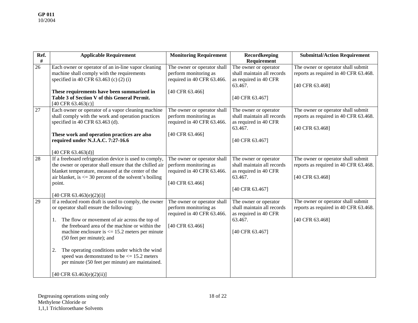| Ref. | <b>Applicable Requirement</b>                              | <b>Monitoring Requirement</b> | Recordkeeping              | <b>Submittal/Action Requirement</b>   |
|------|------------------------------------------------------------|-------------------------------|----------------------------|---------------------------------------|
| $\#$ |                                                            |                               | Requirement                |                                       |
| 26   | Each owner or operator of an in-line vapor cleaning        | The owner or operator shall   | The owner or operator      | The owner or operator shall submit    |
|      | machine shall comply with the requirements                 | perform monitoring as         | shall maintain all records | reports as required in 40 CFR 63.468. |
|      | specified in 40 CFR 63.463 (c) (2) (i)                     | required in 40 CFR 63.466.    | as required in 40 CFR      |                                       |
|      |                                                            |                               | 63.467.                    | [40 CFR 63.468]                       |
|      | These requirements have been summarized in                 | [40 CFR 63.466]               |                            |                                       |
|      | Table 3 of Section V of this General Permit.               |                               | [40 CFR 63.467]            |                                       |
|      | [40 CFR 63.463(c)]                                         |                               |                            |                                       |
| 27   | Each owner or operator of a vapor cleaning machine         | The owner or operator shall   | The owner or operator      | The owner or operator shall submit    |
|      | shall comply with the work and operation practices         | perform monitoring as         | shall maintain all records | reports as required in 40 CFR 63.468. |
|      | specified in 40 CFR 63.463 (d).                            | required in 40 CFR 63.466.    | as required in 40 CFR      |                                       |
|      |                                                            |                               | 63.467.                    | [40 CFR 63.468]                       |
|      | These work and operation practices are also                | [40 CFR 63.466]               |                            |                                       |
|      | required under N.J.A.C. 7:27-16.6                          |                               | [40 CFR 63.467]            |                                       |
|      |                                                            |                               |                            |                                       |
|      | [40 CFR $63.463(d)$ ]                                      |                               |                            |                                       |
| 28   | If a freeboard refrigeration device is used to comply,     | The owner or operator shall   | The owner or operator      | The owner or operator shall submit    |
|      | the owner or operator shall ensure that the chilled air    | perform monitoring as         | shall maintain all records | reports as required in 40 CFR 63.468. |
|      | blanket temperature, measured at the center of the         | required in 40 CFR 63.466.    | as required in 40 CFR      |                                       |
|      | air blanket, is $\leq$ 30 percent of the solvent's boiling |                               | 63.467.                    | [40 CFR 63.468]                       |
|      | point.                                                     | [40 CFR 63.466]               |                            |                                       |
|      |                                                            |                               | [40 CFR 63.467]            |                                       |
|      | $[40 \text{ CFR } 63.463(e)(2)(i)]$                        |                               |                            |                                       |
| 29   | If a reduced room draft is used to comply, the owner       | The owner or operator shall   | The owner or operator      | The owner or operator shall submit    |
|      | or operator shall ensure the following:                    | perform monitoring as         | shall maintain all records | reports as required in 40 CFR 63.468. |
|      |                                                            | required in 40 CFR 63.466.    | as required in 40 CFR      |                                       |
|      | The flow or movement of air across the top of<br>1.        |                               | 63.467.                    | [40 CFR 63.468]                       |
|      | the freeboard area of the machine or within the            | [40 CFR 63.466]               |                            |                                       |
|      | machine enclosure is $\leq$ 15.2 meters per minute         |                               | [40 CFR 63.467]            |                                       |
|      | (50 feet per minute); and                                  |                               |                            |                                       |
|      |                                                            |                               |                            |                                       |
|      | The operating conditions under which the wind<br>2.        |                               |                            |                                       |
|      | speed was demonstrated to be $\leq$ 15.2 meters            |                               |                            |                                       |
|      | per minute (50 feet per minute) are maintained.            |                               |                            |                                       |
|      |                                                            |                               |                            |                                       |
|      | [40 CFR 63.463(e)(2)(ii)]                                  |                               |                            |                                       |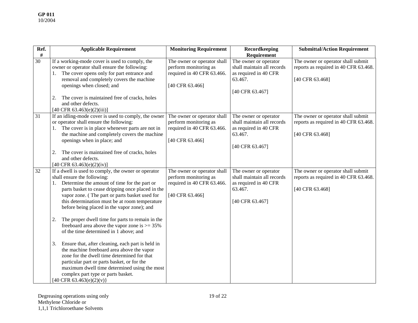| Ref.<br>#       | <b>Applicable Requirement</b>                                                                                                                                                                                                                                                                                                                                                                                                                            | <b>Monitoring Requirement</b>                                                                         | Recordkeeping<br>Requirement                                                                               | <b>Submittal/Action Requirement</b>                                                            |
|-----------------|----------------------------------------------------------------------------------------------------------------------------------------------------------------------------------------------------------------------------------------------------------------------------------------------------------------------------------------------------------------------------------------------------------------------------------------------------------|-------------------------------------------------------------------------------------------------------|------------------------------------------------------------------------------------------------------------|------------------------------------------------------------------------------------------------|
| $\overline{30}$ | If a working-mode cover is used to comply, the<br>owner or operator shall ensure the following:<br>The cover opens only for part entrance and<br>removal and completely covers the machine<br>openings when closed; and<br>The cover is maintained free of cracks, holes<br>2.<br>and other defects.<br>$[40 \text{ CFR } 63.463(e)(2)(iii)]$                                                                                                            | The owner or operator shall<br>perform monitoring as<br>required in 40 CFR 63.466.<br>[40 CFR 63.466] | The owner or operator<br>shall maintain all records<br>as required in 40 CFR<br>63.467.<br>[40 CFR 63.467] | The owner or operator shall submit<br>reports as required in 40 CFR 63.468.<br>[40 CFR 63.468] |
| 31              | If an idling-mode cover is used to comply, the owner<br>or operator shall ensure the following:<br>1. The cover is in place whenever parts are not in<br>the machine and completely covers the machine<br>openings when in place; and<br>The cover is maintained free of cracks, holes<br>2.<br>and other defects.<br>[40 CFR 63.463(e)(2)(iv)]                                                                                                          | The owner or operator shall<br>perform monitoring as<br>required in 40 CFR 63.466.<br>[40 CFR 63.466] | The owner or operator<br>shall maintain all records<br>as required in 40 CFR<br>63.467.<br>[40 CFR 63.467] | The owner or operator shall submit<br>reports as required in 40 CFR 63.468.<br>[40 CFR 63.468] |
| 32              | If a dwell is used to comply, the owner or operator<br>shall ensure the following:<br>Determine the amount of time for the part or<br>parts basket to cease dripping once placed in the<br>vapor zone. (The part or parts basket used for<br>this determination must be at room temperature<br>before being placed in the vapor zone); and<br>2.<br>The proper dwell time for parts to remain in the<br>freeboard area above the vapor zone is $>= 35\%$ | The owner or operator shall<br>perform monitoring as<br>required in 40 CFR 63.466.<br>[40 CFR 63.466] | The owner or operator<br>shall maintain all records<br>as required in 40 CFR<br>63.467.<br>[40 CFR 63.467] | The owner or operator shall submit<br>reports as required in 40 CFR 63.468.<br>[40 CFR 63.468] |
|                 | of the time determined in 1 above; and<br>Ensure that, after cleaning, each part is held in<br>3.<br>the machine freeboard area above the vapor<br>zone for the dwell time determined for that<br>particular part or parts basket, or for the<br>maximum dwell time determined using the most<br>complex part type or parts basket.<br>[40 CFR 63.463(e)(2)(v)}                                                                                          |                                                                                                       |                                                                                                            |                                                                                                |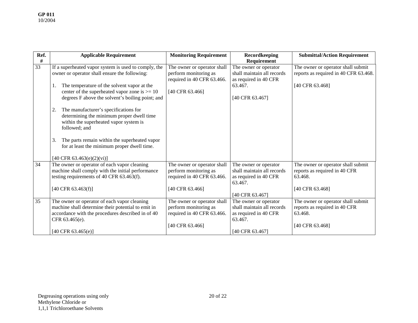| Ref.            | <b>Applicable Requirement</b>                                                                   | <b>Monitoring Requirement</b> | <b>Recordkeeping</b>             | <b>Submittal/Action Requirement</b>   |
|-----------------|-------------------------------------------------------------------------------------------------|-------------------------------|----------------------------------|---------------------------------------|
| $\#$            |                                                                                                 |                               | Requirement                      |                                       |
| $\overline{33}$ | If a superheated vapor system is used to comply, the                                            | The owner or operator shall   | The owner or operator            | The owner or operator shall submit    |
|                 | owner or operator shall ensure the following:                                                   | perform monitoring as         | shall maintain all records       | reports as required in 40 CFR 63.468. |
|                 |                                                                                                 | required in 40 CFR 63.466.    | as required in 40 CFR<br>63.467. |                                       |
|                 | The temperature of the solvent vapor at the<br>center of the superheated vapor zone is $> = 10$ | [40 CFR 63.466]               |                                  | [40 CFR 63.468]                       |
|                 | degrees F above the solvent's boiling point; and                                                |                               | [40 CFR 63.467]                  |                                       |
|                 |                                                                                                 |                               |                                  |                                       |
|                 | The manufacturer's specifications for<br>2.                                                     |                               |                                  |                                       |
|                 | determining the minimum proper dwell time                                                       |                               |                                  |                                       |
|                 | within the superheated vapor system is                                                          |                               |                                  |                                       |
|                 | followed; and                                                                                   |                               |                                  |                                       |
|                 | The parts remain within the superheated vapor<br>3.                                             |                               |                                  |                                       |
|                 | for at least the minimum proper dwell time.                                                     |                               |                                  |                                       |
|                 |                                                                                                 |                               |                                  |                                       |
|                 | $[40 \text{ CFR } 63.463(e)(2)(vi)]$                                                            |                               |                                  |                                       |
| 34              | The owner or operator of each vapor cleaning                                                    | The owner or operator shall   | The owner or operator            | The owner or operator shall submit    |
|                 | machine shall comply with the initial performance                                               | perform monitoring as         | shall maintain all records       | reports as required in 40 CFR         |
|                 | testing requirements of 40 CFR 63.463(f).                                                       | required in 40 CFR 63.466.    | as required in 40 CFR<br>63.467. | 63.468.                               |
|                 | $[40 \text{ CFR } 63.463(f)]$                                                                   | [40 CFR 63.466]               |                                  | [40 CFR 63.468]                       |
|                 |                                                                                                 |                               | [40 CFR 63.467]                  |                                       |
| 35              | The owner or operator of each vapor cleaning                                                    | The owner or operator shall   | The owner or operator            | The owner or operator shall submit    |
|                 | machine shall determine their potential to emit in                                              | perform monitoring as         | shall maintain all records       | reports as required in 40 CFR         |
|                 | accordance with the procedures described in of 40                                               | required in 40 CFR 63.466.    | as required in 40 CFR            | 63.468.                               |
|                 | CFR 63.465(e).                                                                                  |                               | 63.467.                          |                                       |
|                 |                                                                                                 | [40 CFR 63.466]               |                                  | [40 CFR 63.468]                       |
|                 | [40 CFR $63.465(e)$ ]                                                                           |                               | [40 CFR 63.467]                  |                                       |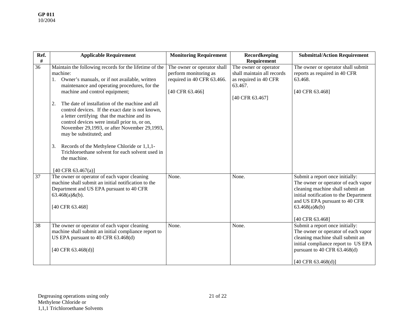| Ref. | <b>Applicable Requirement</b>                                                                                                                                                                                                                                                                                                                                                                                                                                                                                                                                                                                            | <b>Monitoring Requirement</b>                                                                         | Recordkeeping                                                                                              | <b>Submittal/Action Requirement</b>                                                                                                                                                                                            |
|------|--------------------------------------------------------------------------------------------------------------------------------------------------------------------------------------------------------------------------------------------------------------------------------------------------------------------------------------------------------------------------------------------------------------------------------------------------------------------------------------------------------------------------------------------------------------------------------------------------------------------------|-------------------------------------------------------------------------------------------------------|------------------------------------------------------------------------------------------------------------|--------------------------------------------------------------------------------------------------------------------------------------------------------------------------------------------------------------------------------|
| $\#$ |                                                                                                                                                                                                                                                                                                                                                                                                                                                                                                                                                                                                                          |                                                                                                       | <b>Requirement</b>                                                                                         |                                                                                                                                                                                                                                |
| 36   | Maintain the following records for the lifetime of the<br>machine:<br>Owner's manuals, or if not available, written<br>maintenance and operating procedures, for the<br>machine and control equipment;<br>The date of installation of the machine and all<br>2.<br>control devices. If the exact date is not known,<br>a letter certifying that the machine and its<br>control devices were install prior to, or on,<br>November 29,1993, or after November 29,1993,<br>may be substituted; and<br>Records of the Methylene Chloride or 1,1,1-<br>3.<br>Trichloroethane solvent for each solvent used in<br>the machine. | The owner or operator shall<br>perform monitoring as<br>required in 40 CFR 63.466.<br>[40 CFR 63.466] | The owner or operator<br>shall maintain all records<br>as required in 40 CFR<br>63.467.<br>[40 CFR 63.467] | The owner or operator shall submit<br>reports as required in 40 CFR<br>63.468.<br>[40 CFR 63.468]                                                                                                                              |
|      | [40 CFR 63.467(a)]                                                                                                                                                                                                                                                                                                                                                                                                                                                                                                                                                                                                       |                                                                                                       |                                                                                                            |                                                                                                                                                                                                                                |
| 37   | The owner or operator of each vapor cleaning<br>machine shall submit an initial notification to the<br>Department and US EPA pursuant to 40 CFR<br>$63.468(a) \& (b)$ .<br>[40 CFR 63.468]                                                                                                                                                                                                                                                                                                                                                                                                                               | None.                                                                                                 | None.                                                                                                      | Submit a report once initially:<br>The owner or operator of each vapor<br>cleaning machine shall submit an<br>initial notification to the Department<br>and US EPA pursuant to 40 CFR<br>$63.468(a) \& (b)$<br>[40 CFR 63.468] |
| 38   | The owner or operator of each vapor cleaning<br>machine shall submit an initial compliance report to<br>US EPA pursuant to 40 CFR 63.468(d)<br>[40 CFR 63.468(d)]                                                                                                                                                                                                                                                                                                                                                                                                                                                        | None.                                                                                                 | None.                                                                                                      | Submit a report once initially:<br>The owner or operator of each vapor<br>cleaning machine shall submit an<br>initial compliance report to US EPA<br>pursuant to 40 CFR 63.468(d)<br>$[40 \text{ CFR } 63.468 \text{ (d)}]$    |